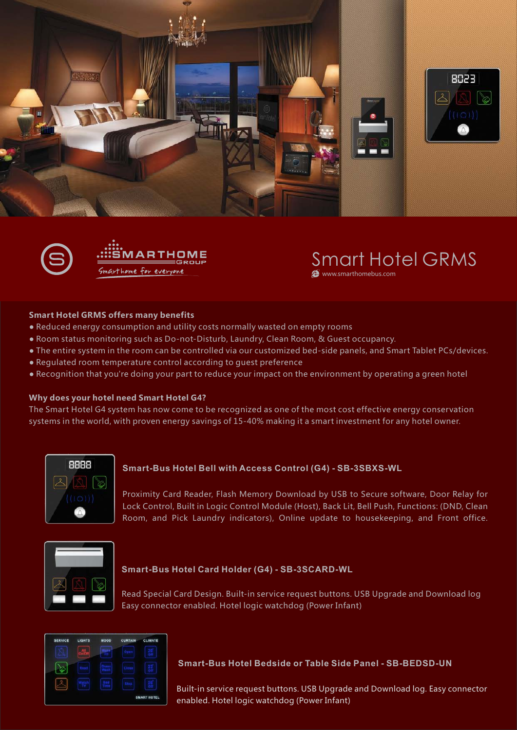





## Smart Hotel GRMS

**A** www.smarthomebus.com

## **Smart Hotel GRMS offers many benefits**

- Reduced energy consumption and utility costs normally wasted on empty rooms
- Room status monitoring such as Do-not-Disturb, Laundry, Clean Room, & Guest occupancy.
- The entire system in the room can be controlled via our customized bed-side panels, and Smart Tablet PCs/devices.
- Regulated room temperature control according to guest preference
- Recognition that you're doing your part to reduce your impact on the environment by operating a green hotel

### **Why does your hotel need Smart Hotel G4?**

The Smart Hotel G4 system has now come to be recognized as one of the most cost effective energy conservation systems in the world, with proven energy savings of 15-40% making it a smart investment for any hotel owner.



## **Smart-Bus Hotel Bell with Access Control (G4) - SB-3SBXS-WL**

Proximity Card Reader, Flash Memory Download by USB to Secure software, Door Relay for Lock Control, Built in Logic Control Module (Host), Back Lit, Bell Push, Functions: (DND, Clean Room, and Pick Laundry indicators), Online update to housekeeping, and Front office.



### **Smart-Bus Hotel Card Holder (G4) - SB-3SCARD-WL**

Read Special Card Design. Built-in service request buttons. USB Upgrade and Download log Easy connector enabled. Hotel logic watchdog (Power Infant)

| <b>SERVICE</b> | LIGHTS | <b>MOOD</b> | CURTAIN | CLIMATE            |  |
|----------------|--------|-------------|---------|--------------------|--|
|                |        |             |         |                    |  |
|                |        |             |         |                    |  |
|                |        |             |         |                    |  |
|                |        |             |         | <b>SMART HOTEL</b> |  |

## **Smart-Bus Hotel Bedside or Table Side Panel - SB-BEDSD-UN**

Built-in service request buttons. USB Upgrade and Download log. Easy connector enabled. Hotel logic watchdog (Power Infant)